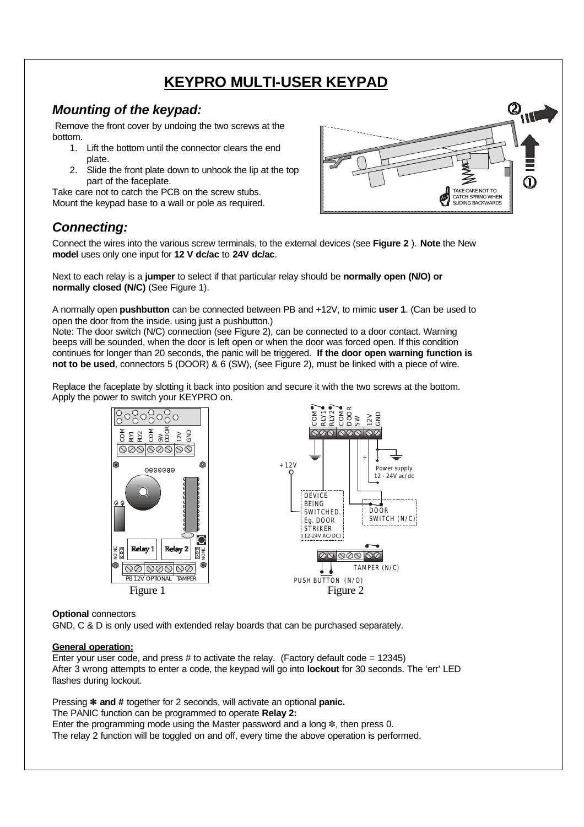# **KEYPRO MULTI-USER KEYPAD**

### *Mounting of the keypad:*

 Remove the front cover by undoing the two screws at the bottom.

- 1. Lift the bottom until the connector clears the end plate.
- 2. Slide the front plate down to unhook the lip at the top part of the faceplate.

Take care not to catch the PCB on the screw stubs.

Mount the keypad base to a wall or pole as required.



## *Connecting:*

Connect the wires into the various screw terminals, to the external devices (see **Figure 2** ). **Note** the New **model** uses only one input for **12 V dc/ac** to **24V dc/ac**.

Next to each relay is a **jumper** to select if that particular relay should be **normally open (N/O) or normally closed (N/C)** (See Figure 1).

A normally open **pushbutton** can be connected between PB and +12V, to mimic **user 1**. (Can be used to open the door from the inside, using just a pushbutton.)

Note: The door switch (N/C) connection (see Figure 2), can be connected to a door contact. Warning beeps will be sounded, when the door is left open or when the door was forced open. If this condition continues for longer than 20 seconds, the panic will be triggered. **If the door open warning function is not to be used**, connectors 5 (DOOR) & 6 (SW), (see Figure 2), must be linked with a piece of wire.

Replace the faceplate by slotting it back into position and secure it with the two screws at the bottom. Apply the power to switch your KEYPRO on.



### **Optional** connectors

GND, C & D is only used with extended relay boards that can be purchased separately.

### **General operation:**

Enter your user code, and press  $#$  to activate the relay. (Factory default code = 12345) After 3 wrong attempts to enter a code, the keypad will go into **lockout** for 30 seconds. The 'err' LED flashes during lockout.

Pressing ~ **and #** together for 2 seconds, will activate an optional **panic.**

The PANIC function can be programmed to operate **Relay 2:**

Enter the programming mode using the Master password and a long  $*$ , then press 0. The relay 2 function will be toggled on and off, every time the above operation is performed.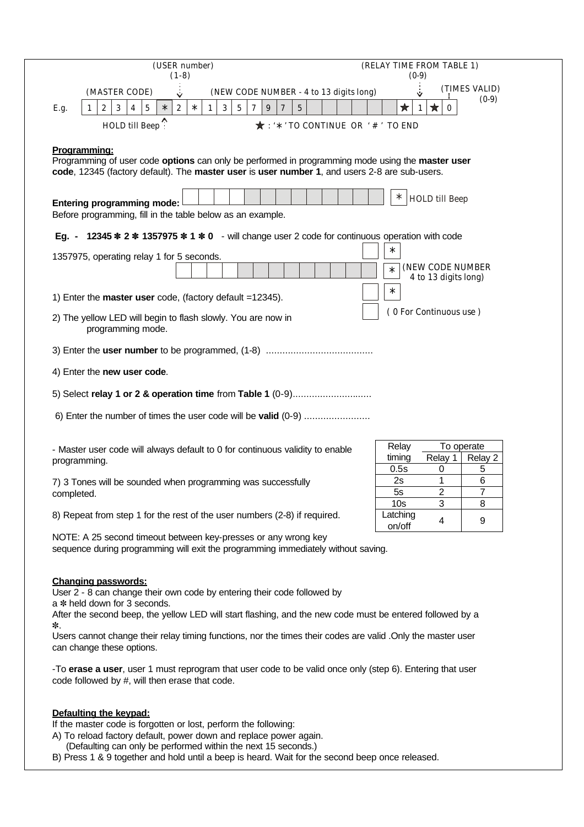| (USER number)<br>$(1-8)$                                                                                                                                                                                                                                                                                                                                                                                                                                                                                           | (RELAY TIME FROM TABLE 1)<br>$(0-9)$                         |
|--------------------------------------------------------------------------------------------------------------------------------------------------------------------------------------------------------------------------------------------------------------------------------------------------------------------------------------------------------------------------------------------------------------------------------------------------------------------------------------------------------------------|--------------------------------------------------------------|
| (NEW CODE NUMBER - 4 to 13 digits long)<br>(MASTER CODE)<br>$\checkmark$                                                                                                                                                                                                                                                                                                                                                                                                                                           | (TIMES VALID)<br>Ÿ                                           |
| $\sqrt{2}$<br>$\sqrt{3}$<br>3<br>$5\phantom{.0}$<br>$\overline{7}$<br>$\boldsymbol{7}$<br>$\bf 5$<br>$\mathbf{2}$<br>$\overline{4}$<br>$\sqrt{5}$<br>$\ast$<br>$\boldsymbol{9}$<br>$\ast$<br>$\mathbf{1}$<br>E.g.<br>-1                                                                                                                                                                                                                                                                                            | $(0-9)$<br>$\bigstar$<br>$\star$<br>-1<br>$\Omega$           |
| HOLD till Beep?<br>$\star$ : '*' TO CONTINUE OR '#' TO END                                                                                                                                                                                                                                                                                                                                                                                                                                                         |                                                              |
| Programming:                                                                                                                                                                                                                                                                                                                                                                                                                                                                                                       |                                                              |
| Programming of user code options can only be performed in programming mode using the master user<br>code, 12345 (factory default). The master user is user number 1, and users 2-8 are sub-users.                                                                                                                                                                                                                                                                                                                  |                                                              |
| ∗<br><b>HOLD</b> till Beep<br><b>Entering programming mode:</b><br>Before programming, fill in the table below as an example.                                                                                                                                                                                                                                                                                                                                                                                      |                                                              |
| 12345 * 2 * 1357975 * 1 * 0 - will change user 2 code for continuous operation with code<br>Eq. -                                                                                                                                                                                                                                                                                                                                                                                                                  |                                                              |
| 1357975, operating relay 1 for 5 seconds.                                                                                                                                                                                                                                                                                                                                                                                                                                                                          | $\ast$<br>(NEW CODE NUMBER<br>$\ast$<br>4 to 13 digits long) |
| 1) Enter the master user code, (factory default =12345).                                                                                                                                                                                                                                                                                                                                                                                                                                                           | $\ast$                                                       |
| (0 For Continuous use)<br>2) The yellow LED will begin to flash slowly. You are now in<br>programming mode.                                                                                                                                                                                                                                                                                                                                                                                                        |                                                              |
|                                                                                                                                                                                                                                                                                                                                                                                                                                                                                                                    |                                                              |
| 4) Enter the new user code.                                                                                                                                                                                                                                                                                                                                                                                                                                                                                        |                                                              |
| 5) Select relay 1 or 2 & operation time from Table 1 (0-9)                                                                                                                                                                                                                                                                                                                                                                                                                                                         |                                                              |
| 6) Enter the number of times the user code will be valid (0-9)                                                                                                                                                                                                                                                                                                                                                                                                                                                     |                                                              |
| - Master user code will always default to 0 for continuous validity to enable                                                                                                                                                                                                                                                                                                                                                                                                                                      | To operate<br>Relay<br>timing<br>Relay 1<br>Relay 2          |
| programming.                                                                                                                                                                                                                                                                                                                                                                                                                                                                                                       | 5<br>0.5s<br>0                                               |
| 7) 3 Tones will be sounded when programming was successfully<br>completed.                                                                                                                                                                                                                                                                                                                                                                                                                                         | 6<br>2s<br>1<br>2<br>7<br>5s                                 |
|                                                                                                                                                                                                                                                                                                                                                                                                                                                                                                                    | 3<br>10 <sub>s</sub><br>8                                    |
| 8) Repeat from step 1 for the rest of the user numbers (2-8) if required.                                                                                                                                                                                                                                                                                                                                                                                                                                          | Latching<br>4<br>9<br>on/off                                 |
| NOTE: A 25 second timeout between key-presses or any wrong key<br>sequence during programming will exit the programming immediately without saving.                                                                                                                                                                                                                                                                                                                                                                |                                                              |
| <b>Changing passwords:</b><br>User 2 - 8 can change their own code by entering their code followed by<br>a * held down for 3 seconds.<br>After the second beep, the yellow LED will start flashing, and the new code must be entered followed by a<br>∗.<br>Users cannot change their relay timing functions, nor the times their codes are valid . Only the master user<br>can change these options.<br>-To erase a user, user 1 must reprogram that user code to be valid once only (step 6). Entering that user |                                                              |
| code followed by #, will then erase that code.                                                                                                                                                                                                                                                                                                                                                                                                                                                                     |                                                              |
| Defaulting the keypad:<br>If the master code is forgotten or lost, perform the following:                                                                                                                                                                                                                                                                                                                                                                                                                          |                                                              |

A) To reload factory default, power down and replace power again.

(Defaulting can only be performed within the next 15 seconds.)

B) Press 1 & 9 together and hold until a beep is heard. Wait for the second beep once released.